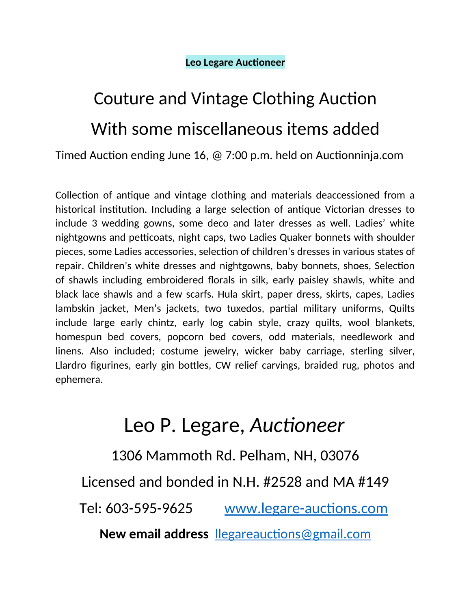## **Leo Legare Auctioneer**

## Couture and Vintage Clothing Auction With some miscellaneous items added

Timed Auction ending June 16, @ 7:00 p.m. held on Auctionninja.com

Collection of antique and vintage clothing and materials deaccessioned from a historical institution. Including a large selection of antique Victorian dresses to include 3 wedding gowns, some deco and later dresses as well. Ladies' white nightgowns and petticoats, night caps, two Ladies Quaker bonnets with shoulder pieces, some Ladies accessories, selection of children's dresses in various states of repair. Children's white dresses and nightgowns, baby bonnets, shoes, Selection of shawls including embroidered florals in silk, early paisley shawls, white and black lace shawls and a few scarfs. Hula skirt, paper dress, skirts, capes, Ladies lambskin jacket, Men's jackets, two tuxedos, partial military uniforms, Quilts include large early chintz, early log cabin style, crazy quilts, wool blankets, homespun bed covers, popcorn bed covers, odd materials, needlework and linens. Also included; costume jewelry, wicker baby carriage, sterling silver, Llardro figurines, early gin bottles, CW relief carvings, braided rug, photos and ephemera.

## Leo P. Legare, *Auctioneer*

1306 Mammoth Rd. Pelham, NH, 03076 Licensed and bonded in N.H. #2528 and MA #149 Tel: 603-595-9625 [www.legare-auctions.com](http://www.legare-auctions.com/) **New email address** [llegareauctions@gmail.com](mailto:llegareauctions@gmail.com)